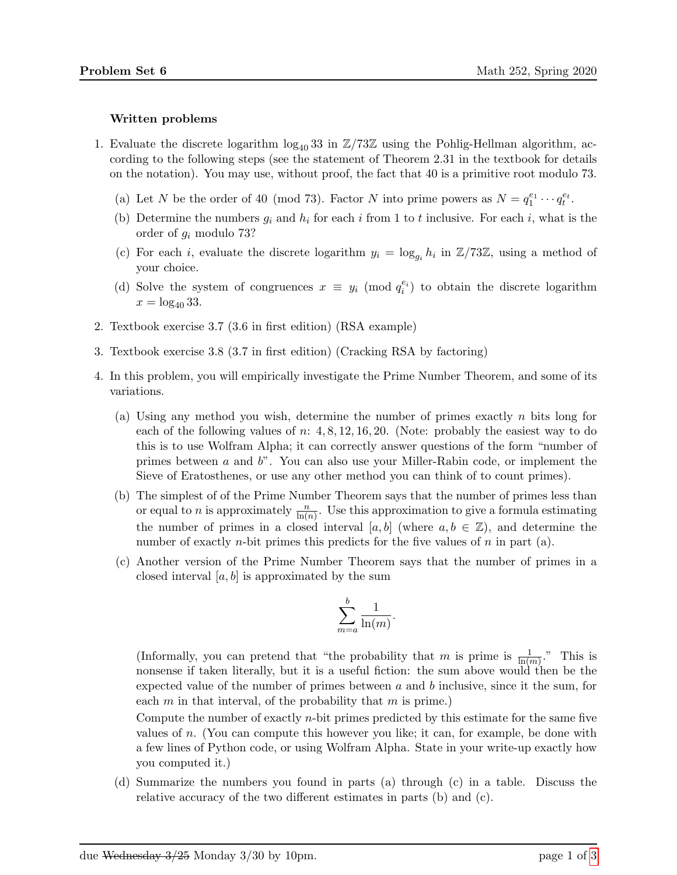## Written problems

- 1. Evaluate the discrete logarithm  $\log_{40} 33$  in  $\mathbb{Z}/73\mathbb{Z}$  using the Pohlig-Hellman algorithm, according to the following steps (see the statement of Theorem 2.31 in the textbook for details on the notation). You may use, without proof, the fact that 40 is a primitive root modulo 73.
	- (a) Let N be the order of 40 (mod 73). Factor N into prime powers as  $N = q_1^{e_1} \cdots q_t^{e_t}$ .
	- (b) Determine the numbers  $g_i$  and  $h_i$  for each i from 1 to t inclusive. For each i, what is the order of g<sup>i</sup> modulo 73?
	- (c) For each *i*, evaluate the discrete logarithm  $y_i = \log_{g_i} h_i$  in  $\mathbb{Z}/73\mathbb{Z}$ , using a method of your choice.
	- (d) Solve the system of congruences  $x \equiv y_i \pmod{q_i^{e_i}}$  to obtain the discrete logarithm  $x = \log_{40} 33$ .
- 2. Textbook exercise 3.7 (3.6 in first edition) (RSA example)
- 3. Textbook exercise 3.8 (3.7 in first edition) (Cracking RSA by factoring)
- 4. In this problem, you will empirically investigate the Prime Number Theorem, and some of its variations.
	- (a) Using any method you wish, determine the number of primes exactly n bits long for each of the following values of  $n: 4, 8, 12, 16, 20$ . (Note: probably the easiest way to do this is to use Wolfram Alpha; it can correctly answer questions of the form "number of primes between  $a$  and  $b$ ". You can also use your Miller-Rabin code, or implement the Sieve of Eratosthenes, or use any other method you can think of to count primes).
	- (b) The simplest of of the Prime Number Theorem says that the number of primes less than or equal to *n* is approximately  $\frac{n}{\ln(n)}$ . Use this approximation to give a formula estimating the number of primes in a closed interval [a, b] (where  $a, b \in \mathbb{Z}$ ), and determine the number of exactly *n*-bit primes this predicts for the five values of *n* in part (a).
	- (c) Another version of the Prime Number Theorem says that the number of primes in a closed interval  $[a, b]$  is approximated by the sum

$$
\sum_{m=a}^{b} \frac{1}{\ln(m)}.
$$

(Informally, you can pretend that "the probability that m is prime is  $\frac{1}{\ln(m)}$ ." This is nonsense if taken literally, but it is a useful fiction: the sum above would then be the expected value of the number of primes between  $a$  and  $b$  inclusive, since it the sum, for each  $m$  in that interval, of the probability that  $m$  is prime.)

Compute the number of exactly n-bit primes predicted by this estimate for the same five values of n. (You can compute this however you like; it can, for example, be done with a few lines of Python code, or using Wolfram Alpha. State in your write-up exactly how you computed it.)

(d) Summarize the numbers you found in parts (a) through (c) in a table. Discuss the relative accuracy of the two different estimates in parts (b) and (c).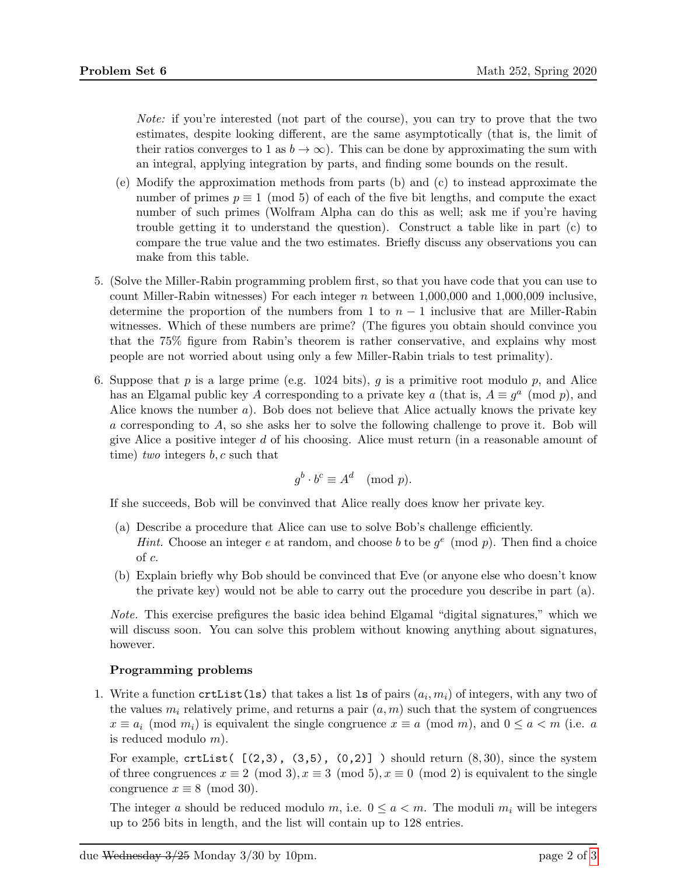Note: if you're interested (not part of the course), you can try to prove that the two estimates, despite looking different, are the same asymptotically (that is, the limit of their ratios converges to 1 as  $b \to \infty$ ). This can be done by approximating the sum with an integral, applying integration by parts, and finding some bounds on the result.

- (e) Modify the approximation methods from parts (b) and (c) to instead approximate the number of primes  $p \equiv 1 \pmod{5}$  of each of the five bit lengths, and compute the exact number of such primes (Wolfram Alpha can do this as well; ask me if you're having trouble getting it to understand the question). Construct a table like in part (c) to compare the true value and the two estimates. Briefly discuss any observations you can make from this table.
- 5. (Solve the Miller-Rabin programming problem first, so that you have code that you can use to count Miller-Rabin witnesses) For each integer  $n$  between 1,000,000 and 1,000,009 inclusive, determine the proportion of the numbers from 1 to  $n-1$  inclusive that are Miller-Rabin witnesses. Which of these numbers are prime? (The figures you obtain should convince you that the 75% figure from Rabin's theorem is rather conservative, and explains why most people are not worried about using only a few Miller-Rabin trials to test primality).
- 6. Suppose that p is a large prime (e.g. 1024 bits), q is a primitive root modulo p, and Alice has an Elgamal public key A corresponding to a private key a (that is,  $A \equiv g^a \pmod{p}$ , and Alice knows the number a). Bob does not believe that Alice actually knows the private key a corresponding to A, so she asks her to solve the following challenge to prove it. Bob will give Alice a positive integer d of his choosing. Alice must return (in a reasonable amount of time) two integers  $b, c$  such that

$$
g^b \cdot b^c \equiv A^d \pmod{p}.
$$

If she succeeds, Bob will be convinved that Alice really does know her private key.

- (a) Describe a procedure that Alice can use to solve Bob's challenge efficiently. *Hint.* Choose an integer e at random, and choose b to be  $g^e \pmod{p}$ . Then find a choice of c.
- (b) Explain briefly why Bob should be convinced that Eve (or anyone else who doesn't know the private key) would not be able to carry out the procedure you describe in part (a).

Note. This exercise prefigures the basic idea behind Elgamal "digital signatures," which we will discuss soon. You can solve this problem without knowing anything about signatures, however.

## Programming problems

1. Write a function  $\text{crtList}(ls)$  that takes a list 1s of pairs  $(a_i, m_i)$  of integers, with any two of the values  $m_i$  relatively prime, and returns a pair  $(a, m)$  such that the system of congruences  $x \equiv a_i \pmod{m_i}$  is equivalent the single congruence  $x \equiv a \pmod{m}$ , and  $0 \le a < m$  (i.e. a is reduced modulo m).

For example,  $\text{crtList}$  ( $(2,3)$ ,  $(3,5)$ ,  $(0,2)$ ] ) should return  $(8,30)$ , since the system of three congruences  $x \equiv 2 \pmod{3}$ ,  $x \equiv 3 \pmod{5}$ ,  $x \equiv 0 \pmod{2}$  is equivalent to the single congruence  $x \equiv 8 \pmod{30}$ .

The integer a should be reduced modulo m, i.e.  $0 \le a \le m$ . The moduli  $m_i$  will be integers up to 256 bits in length, and the list will contain up to 128 entries.